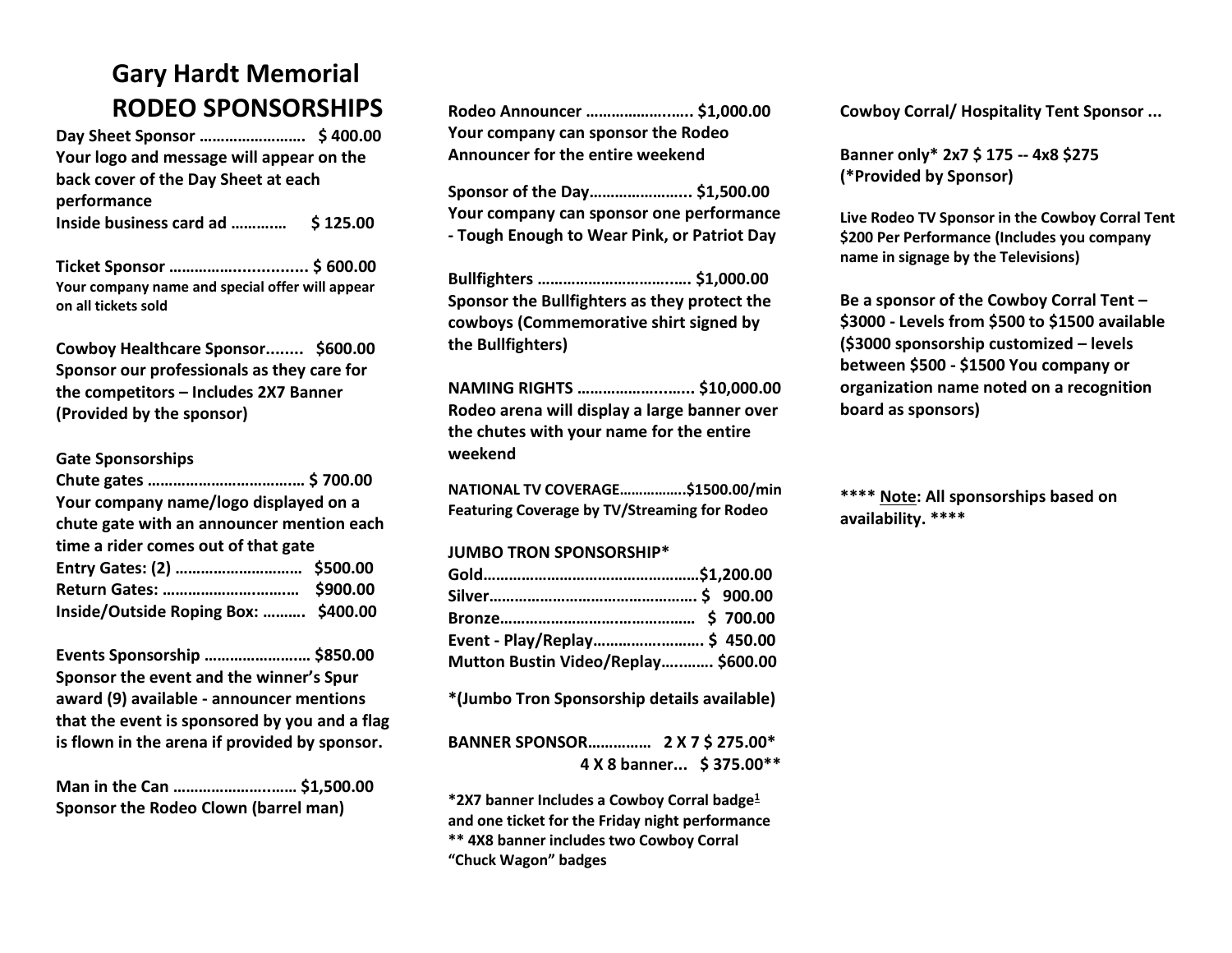## **Gary Hardt Memorial RODEO SPONSORSHIPS**

**Day Sheet Sponsor ……………………. \$ 400.00 Your logo and message will appear on the back cover of the Day Sheet at each performance Inside business card ad ……….… \$ 125.00**

**Ticket Sponsor ……………................ \$ 600.00 Your company name and special offer will appear on all tickets sold** 

**Cowboy Healthcare Sponsor........ \$600.00 Sponsor our professionals as they care for the competitors – Includes 2X7 Banner (Provided by the sponsor)**

## **Gate Sponsorships**

| Your company name/logo displayed on a     |  |
|-------------------------------------------|--|
| chute gate with an announcer mention each |  |
| time a rider comes out of that gate       |  |
|                                           |  |
|                                           |  |
| Inside/Outside Roping Box:  \$400.00      |  |

**Events Sponsorship ………………….… \$850.00 Sponsor the event and the winner's Spur award (9) available - announcer mentions that the event is sponsored by you and a flag is flown in the arena if provided by sponsor.**

**Man in the Can …………………..…… \$1,500.00 Sponsor the Rodeo Clown (barrel man)**

| Rodeo Announcer  \$1,000.00        |  |
|------------------------------------|--|
| Your company can sponsor the Rodeo |  |
| Announcer for the entire weekend   |  |

**Sponsor of the Day…………………... \$1,500.00 Your company can sponsor one performance - Tough Enough to Wear Pink, or Patriot Day**

**Bullfighters …………………………..…. \$1,000.00 Sponsor the Bullfighters as they protect the cowboys (Commemorative shirt signed by the Bullfighters)**

**NAMING RIGHTS ………………...…... \$10,000.00 Rodeo arena will display a large banner over the chutes with your name for the entire weekend**

**NATIONAL TV COVERAGE……………..\$1500.00/min Featuring Coverage by TV/Streaming for Rodeo**

## **JUMBO TRON SPONSORSHIP\***

| Event - Play/Replay \$ 450.00       |  |
|-------------------------------------|--|
| Mutton Bustin Video/Replay \$600.00 |  |

**\*(Jumbo Tron Sponsorship details available)**

|  | 4 X 8 banner \$ 375.00** |
|--|--------------------------|

**\*2X7 banner Includes a Cowboy Corral badge<sup>1</sup> and one ticket for the Friday night performance \*\* 4X8 banner includes two Cowboy Corral "Chuck Wagon" badges**

**Cowboy Corral/ Hospitality Tent Sponsor ...** 

**Banner only\* 2x7 \$ 175 -- 4x8 \$275 (\*Provided by Sponsor)**

**Live Rodeo TV Sponsor in the Cowboy Corral Tent \$200 Per Performance (Includes you company name in signage by the Televisions)**

**Be a sponsor of the Cowboy Corral Tent – \$3000 - Levels from \$500 to \$1500 available (\$3000 sponsorship customized – levels between \$500 - \$1500 You company or organization name noted on a recognition board as sponsors)**

**\*\*\*\* Note: All sponsorships based on availability. \*\*\*\***